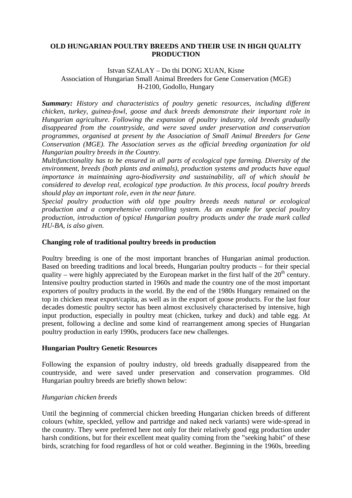### **OLD HUNGARIAN POULTRY BREEDS AND THEIR USE IN HIGH QUALITY PRODUCTION**

### Istvan SZALAY – Do thi DONG XUAN, Kisne Association of Hungarian Small Animal Breeders for Gene Conservation (MGE) H-2100, Godollo, Hungary

*Summary: History and characteristics of poultry genetic resources, including different chicken, turkey, guinea-fowl, goose and duck breeds demonstrate their important role in Hungarian agriculture. Following the expansion of poultry industry, old breeds gradually disappeared from the countryside, and were saved under preservation and conservation programmes, organised at present by the Association of Small Animal Breeders for Gene Conservation (MGE). The Association serves as the official breeding organization for old Hungarian poultry breeds in the Country.* 

*Multifunctionality has to be ensured in all parts of ecological type farming. Diversity of the environment, breeds (both plants and animals), production systems and products have equal importance in maintaining agro-biodiversity and sustainability, all of which should be considered to develop real, ecological type production. In this process, local poultry breeds should play an important role, even in the near future.* 

*Special poultry production with old type poultry breeds needs natural or ecological production and a comprehensive controlling system. As an example for special poultry production, introduction of typical Hungarian poultry products under the trade mark called HU-BA, is also given.* 

### **Changing role of traditional poultry breeds in production**

Poultry breeding is one of the most important branches of Hungarian animal production. Based on breeding traditions and local breeds, Hungarian poultry products – for their special quality – were highly appreciated by the European market in the first half of the  $20<sup>th</sup>$  century. Intensive poultry production started in 1960s and made the country one of the most important exporters of poultry products in the world. By the end of the 1980s Hungary remained on the top in chicken meat export/capita, as well as in the export of goose products. For the last four decades domestic poultry sector has been almost exclusively characterised by intensive, high input production, especially in poultry meat (chicken, turkey and duck) and table egg. At present, following a decline and some kind of rearrangement among species of Hungarian poultry production in early 1990s, producers face new challenges*.*

### **Hungarian Poultry Genetic Resources**

Following the expansion of poultry industry, old breeds gradually disappeared from the countryside, and were saved under preservation and conservation programmes. Old Hungarian poultry breeds are briefly shown below:

### *Hungarian chicken breeds*

Until the beginning of commercial chicken breeding Hungarian chicken breeds of different colours (white, speckled, yellow and partridge and naked neck variants) were wide-spread in the country. They were preferred here not only for their relatively good egg production under harsh conditions, but for their excellent meat quality coming from the "seeking habit" of these birds, scratching for food regardless of hot or cold weather. Beginning in the 1960s, breeding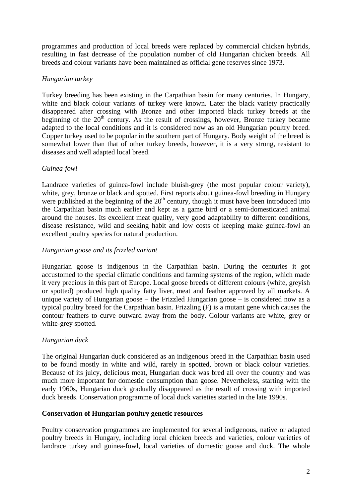programmes and production of local breeds were replaced by commercial chicken hybrids, resulting in fast decrease of the population number of old Hungarian chicken breeds. All breeds and colour variants have been maintained as official gene reserves since 1973.

# *Hungarian turkey*

Turkey breeding has been existing in the Carpathian basin for many centuries. In Hungary, white and black colour variants of turkey were known. Later the black variety practically disappeared after crossing with Bronze and other imported black turkey breeds at the beginning of the  $20<sup>th</sup>$  century. As the result of crossings, however, Bronze turkey became adapted to the local conditions and it is considered now as an old Hungarian poultry breed. Copper turkey used to be popular in the southern part of Hungary. Body weight of the breed is somewhat lower than that of other turkey breeds, however, it is a very strong, resistant to diseases and well adapted local breed.

# *Guinea-fowl*

Landrace varieties of guinea-fowl include bluish-grey (the most popular colour variety), white, grey, bronze or black and spotted. First reports about guinea-fowl breeding in Hungary were published at the beginning of the  $20<sup>th</sup>$  century, though it must have been introduced into the Carpathian basin much earlier and kept as a game bird or a semi-domesticated animal around the houses. Its excellent meat quality, very good adaptability to different conditions, disease resistance, wild and seeking habit and low costs of keeping make guinea-fowl an excellent poultry species for natural production.

# *Hungarian goose and its frizzled variant*

Hungarian goose is indigenous in the Carpathian basin. During the centuries it got accustomed to the special climatic conditions and farming systems of the region, which made it very precious in this part of Europe. Local goose breeds of different colours (white, greyish or spotted) produced high quality fatty liver, meat and feather approved by all markets. A unique variety of Hungarian goose – the Frizzled Hungarian goose – is considered now as a typical poultry breed for the Carpathian basin. Frizzling (F) is a mutant gene which causes the contour feathers to curve outward away from the body. Colour variants are white, grey or white-grey spotted.

# *Hungarian duck*

The original Hungarian duck considered as an indigenous breed in the Carpathian basin used to be found mostly in white and wild, rarely in spotted, brown or black colour varieties. Because of its juicy, delicious meat, Hungarian duck was bred all over the country and was much more important for domestic consumption than goose. Nevertheless, starting with the early 1960s, Hungarian duck gradually disappeared as the result of crossing with imported duck breeds. Conservation programme of local duck varieties started in the late 1990s.

## **Conservation of Hungarian poultry genetic resources**

Poultry conservation programmes are implemented for several indigenous, native or adapted poultry breeds in Hungary, including local chicken breeds and varieties, colour varieties of landrace turkey and guinea-fowl, local varieties of domestic goose and duck. The whole